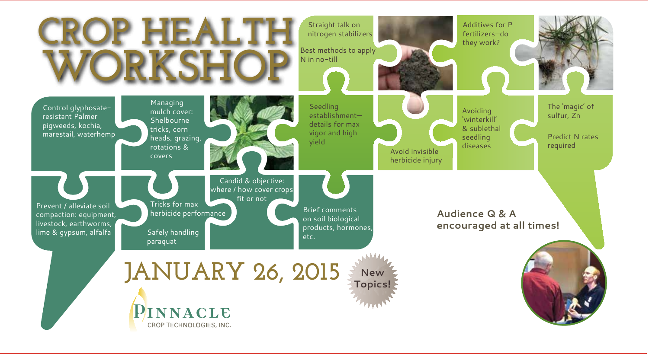